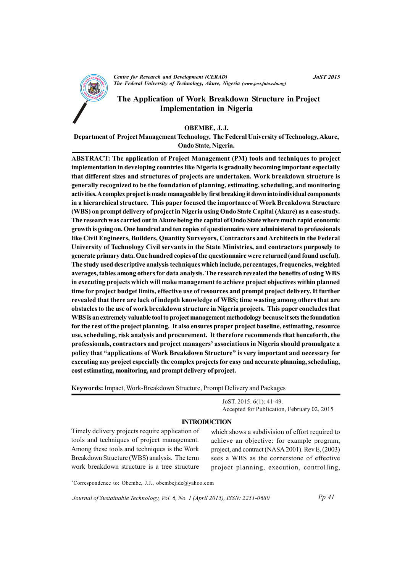

# The Application of Work Breakdown Structure in Project **Implementation in Nigeria**

#### OBEMBE, J.J.

Department of Project Management Technology, The Federal University of Technology, Akure, Ondo State, Nigeria.

ABSTRACT: The application of Project Management (PM) tools and techniques to project implementation in developing countries like Nigeria is gradually becoming important especially that different sizes and structures of projects are undertaken. Work breakdown structure is generally recognized to be the foundation of planning, estimating, scheduling, and monitoring activities. A complex project is made manageable by first breaking it down into individual components in a hierarchical structure. This paper focused the importance of Work Breakdown Structure (WBS) on prompt delivery of project in Nigeria using Ondo State Capital (Akure) as a case study. The research was carried out in Akure being the capital of Ondo State where much rapid economic growth is going on. One hundred and ten copies of questionnaire were administered to professionals like Civil Engineers, Builders, Quantity Surveyors, Contractors and Architects in the Federal University of Technology Civil servants in the State Ministries, and contractors purposely to generate primary data. One hundred copies of the questionnaire were returned (and found useful). The study used descriptive analysis techniques which include, percentages, frequencies, weighted averages, tables among others for data analysis. The research revealed the benefits of using WBS in executing projects which will make management to achieve project objectives within planned time for project budget limits, effective use of resources and prompt project delivery. It further revealed that there are lack of indepth knowledge of WBS; time wasting among others that are obstacles to the use of work breakdown structure in Nigeria projects. This paper concludes that WBS is an extremely valuable tool to project management methodology because it sets the foundation for the rest of the project planning. It also ensures proper project baseline, estimating, resource use, scheduling, risk analysis and procurement. It therefore recommends that henceforth, the professionals, contractors and project managers' associations in Nigeria should promulgate a policy that "applications of Work Breakdown Structure" is very important and necessary for executing any project especially the complex projects for easy and accurate planning, scheduling, cost estimating, monitoring, and prompt delivery of project.

Keywords: Impact, Work-Breakdown Structure, Prompt Delivery and Packages

JoST. 2015. 6(1): 41-49. Accepted for Publication, February 02, 2015

#### **INTRODUCTION**

Timely delivery projects require application of tools and techniques of project management. Among these tools and techniques is the Work Breakdown Structure (WBS) analysis. The term work breakdown structure is a tree structure which shows a subdivision of effort required to achieve an objective: for example program, project, and contract (NASA 2001). Rev E, (2003) sees a WBS as the cornerstone of effective project planning, execution, controlling,

\*Correspondence to: Obembe, J.J., obembejide@yahoo.com

Journal of Sustainable Technology, Vol. 6, No. 1 (April 2015), ISSN: 2251-0680

 $Pp 41$ 

**JoST 2015**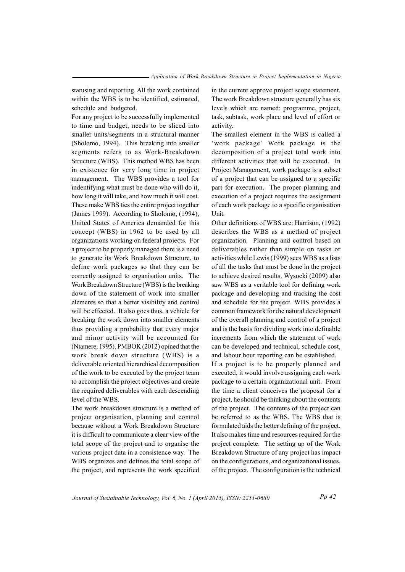statusing and reporting. All the work contained within the WBS is to be identified, estimated, schedule and budgeted.

For any project to be successfully implemented to time and budget, needs to be sliced into smaller units/segments in a structural manner (Sholomo, 1994). This breaking into smaller segments refers to as Work-Breakdown Structure (WBS). This method WBS has been in existence for very long time in project management. The WBS provides a tool for indentifying what must be done who will do it, how long it will take, and how much it will cost. These make WBS ties the entire project together (James 1999). According to Sholomo, (1994), United States of America demanded for this concept (WBS) in 1962 to be used by all organizations working on federal projects. For a project to be properly managed there is a need to generate its Work Breakdown Structure, to define work packages so that they can be correctly assigned to organisation units. The Work Breakdown Structure (WBS) is the breaking down of the statement of work into smaller elements so that a better visibility and control will be effected. It also goes thus, a vehicle for breaking the work down into smaller elements thus providing a probability that every major and minor activity will be accounted for (Ntamere, 1995), PMBOK (2012) opined that the work break down structure (WBS) is a deliverable oriented hierarchical decomposition of the work to be executed by the project team to accomplish the project objectives and create the required deliverables with each descending level of the WBS.

The work breakdown structure is a method of project organisation, planning and control because without a Work Breakdown Structure it is difficult to communicate a clear view of the total scope of the project and to organise the various project data in a consistence way. The WBS organizes and defines the total scope of the project, and represents the work specified

in the current approve project scope statement. The work Breakdown structure generally has six levels which are named: programme, project, task, subtask, work place and level of effort or activity.

The smallest element in the WBS is called a 'work package' Work package is the decomposition of a project total work into different activities that will be executed. In Project Management, work package is a subset of a project that can be assigned to a specific part for execution. The proper planning and execution of a project requires the assignment of each work package to a specific organisation **Unit** 

Other definitions of WBS are: Harrison, (1992) describes the WBS as a method of project organization. Planning and control based on deliverables rather than simple on tasks or activities while Lewis (1999) sees WBS as a lists of all the tasks that must be done in the project to achieve desired results. Wysocki (2009) also saw WBS as a veritable tool for defining work package and developing and tracking the cost and schedule for the project. WBS provides a common framework for the natural development of the overall planning and control of a project and is the basis for dividing work into definable increments from which the statement of work can be developed and technical, schedule cost, and labour hour reporting can be established. If a project is to be properly planned and executed, it would involve assigning each work package to a certain organizational unit. From the time a client conceives the proposal for a project, he should be thinking about the contents of the project. The contents of the project can be referred to as the WBS. The WBS that is formulated aids the better defining of the project. It also makes time and resources required for the project complete. The setting up of the Work Breakdown Structure of any project has impact on the configurations, and organizational issues.

of the project. The configuration is the technical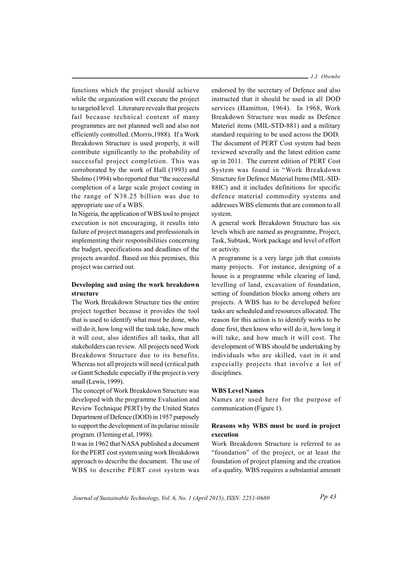functions which the project should achieve while the organization will execute the project to targeted level. Literature reveals that projects fail because technical content of many programmes are not planned well and also not efficiently controlled. (Morris, 1988). If a Work Breakdown Structure is used properly, it will contribute significantly to the probability of successful project completion. This was corroborated by the work of Hall (1993) and Sholmo (1994) who reported that "the successful completion of a large scale project costing in the range of N38.25 billion was due to appropriate use of a WBS.

In Nigeria, the application of WBS tool to project execution is not encouraging, it results into failure of project managers and professionals in implementing their responsibilities concerning the budget, specifications and deadlines of the projects awarded. Based on this premises, this project was carried out.

## Developing and using the work breakdown structure

The Work Breakdown Structure ties the entire project together because it provides the tool that is used to identify what must be done, who will do it, how long will the task take, how much it will cost, also identifies all tasks, that all stakeholders can review. All projects need Work Breakdown Structure due to its benefits. Whereas not all projects will need (critical path) or Gantt Schedule especially if the project is very small (Lewis, 1999).

The concept of Work Breakdown Structure was developed with the programme Evaluation and Review Technique PERT) by the United States Department of Defence (DOD) in 1957 purposely to support the development of its polarise missile program. (Fleming et al, 1998).

It was in 1962 that NASA published a document for the PERT cost system using work Breakdown approach to describe the document. The use of WBS to describe PERT cost system was

 $J.J.$  Obembe

endorsed by the secretary of Defence and also instructed that it should be used in all DOD services (Hamitton, 1964). In 1968, Work Breakdown Structure was made as Defence Materiel items (MIL-STD-881) and a military standard requiring to be used across the DOD. The document of PERT Cost system had been reviewed severally and the latest edition came up in 2011. The current edition of PERT Cost System was found in "Work Breakdown Structure for Defence Material Items (MIL-SID-88IC) and it includes definitions for specific defence material commodity systems and addresses WBS elements that are common to all system.

A general work Breakdown Structure has six levels which are named as programme, Project, Task, Subtask, Work package and level of effort or activity.

A programme is a very large job that consists many projects. For instance, designing of a house is a programme while clearing of land, levelling of land, excavation of foundation, setting of foundation blocks among others are projects. A WBS has to be developed before tasks are scheduled and resources allocated. The reason for this action is to identify works to be done first, then know who will do it, how long it will take, and how much it will cost. The development of WBS should be undertaking by individuals who are skilled, vast in it and especially projects that involve a lot of disciplines.

#### **WBS Level Names**

Names are used here for the purpose of communication (Figure 1).

## Reasons why WBS must be used in project execution

Work Breakdown Structure is referred to as "foundation" of the project, or at least the foundation of project planning and the creation of a quality. WBS requires a substantial amount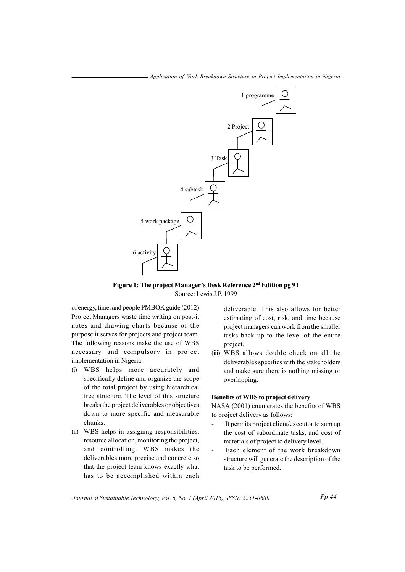

Figure 1: The project Manager's Desk Reference 2<sup>nd</sup> Edition pg 91 Source: Lewis J.P. 1999

of energy, time, and people PMBOK guide (2012) Project Managers waste time writing on post-it notes and drawing charts because of the purpose it serves for projects and project team. The following reasons make the use of WBS necessary and compulsory in project implementation in Nigeria.

- (i) WBS helps more accurately and specifically define and organize the scope of the total project by using hierarchical free structure. The level of this structure breaks the project deliverables or objectives down to more specific and measurable chunks.
- (ii) WBS helps in assigning responsibilities, resource allocation, monitoring the project, and controlling. WBS makes the deliverables more precise and concrete so that the project team knows exactly what has to be accomplished within each

deliverable. This also allows for better estimating of cost, risk, and time because project managers can work from the smaller tasks back up to the level of the entire project.

(iii) WBS allows double check on all the deliverables specifics with the stakeholders and make sure there is nothing missing or overlapping.

## **Benefits of WBS to project delivery**

NASA (2001) enumerates the benefits of WBS to project delivery as follows:

- It permits project client/executor to sum up the cost of subordinate tasks, and cost of materials of project to delivery level.
- Each element of the work breakdown structure will generate the description of the task to be performed.

Journal of Sustainable Technology, Vol. 6, No. 1 (April 2015), ISSN: 2251-0680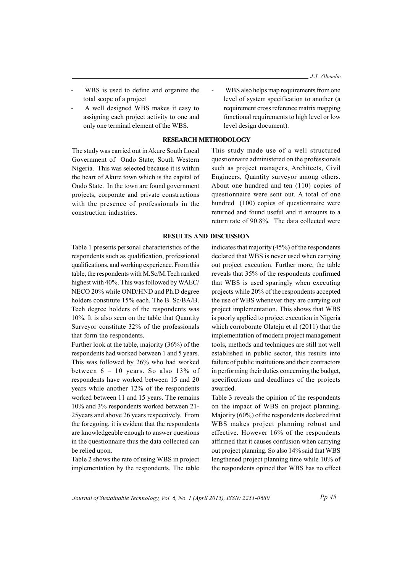- WBS is used to define and organize the total scope of a project
- A well designed WBS makes it easy to assigning each project activity to one and only one terminal element of the WBS.

## **RESEARCH METHODOLOGY**

The study was carried out in Akure South Local Government of Ondo State; South Western Nigeria. This was selected because it is within the heart of Akure town which is the capital of Ondo State. In the town are found government projects, corporate and private constructions with the presence of professionals in the construction industries.

This study made use of a well structured questionnaire administered on the professionals such as project managers, Architects, Civil Engineers, Quantity surveyor among others. About one hundred and ten (110) copies of questionnaire were sent out. A total of one hundred (100) copies of questionnaire were returned and found useful and it amounts to a return rate of 90.8%. The data collected were

WBS also helps map requirements from one

level of system specification to another (a

requirement cross reference matrix mapping

functional requirements to high level or low

level design document).

#### **RESULTS AND DISCUSSION**

Table 1 presents personal characteristics of the respondents such as qualification, professional qualifications, and working experience. From this table, the respondents with M.Sc/M.Tech ranked highest with 40%. This was followed by WAEC/ NECO 20% while OND/HND and Ph.D degree holders constitute 15% each. The B. Sc/BA/B. Tech degree holders of the respondents was 10%. It is also seen on the table that Quantity Surveyor constitute 32% of the professionals that form the respondents.

Further look at the table, majority (36%) of the respondents had worked between 1 and 5 years. This was followed by 26% who had worked between  $6 - 10$  years. So also 13% of respondents have worked between 15 and 20 years while another 12% of the respondents worked between 11 and 15 years. The remains 10% and 3% respondents worked between 21-25 years and above 26 years respectively. From the foregoing, it is evident that the respondents are knowledgeable enough to answer questions in the questionnaire thus the data collected can be relied upon.

Table 2 shows the rate of using WBS in project implementation by the respondents. The table

indicates that majority  $(45%)$  of the respondents declared that WBS is never used when carrying out project execution. Further more, the table reveals that 35% of the respondents confirmed that WBS is used sparingly when executing projects while 20% of the respondents accepted the use of WBS whenever they are carrying out project implementation. This shows that WBS is poorly applied to project execution in Nigeria which corroborate Olateju et al (2011) that the implementation of modern project management tools, methods and techniques are still not well established in public sector, this results into failure of public institutions and their contractors in performing their duties concerning the budget, specifications and deadlines of the projects awarded.

Table 3 reveals the opinion of the respondents on the impact of WBS on project planning. Majority (60%) of the respondents declared that WBS makes project planning robust and effective. However 16% of the respondents affirmed that it causes confusion when carrying out project planning. So also 14% said that WBS lengthened project planning time while 10% of the respondents opined that WBS has no effect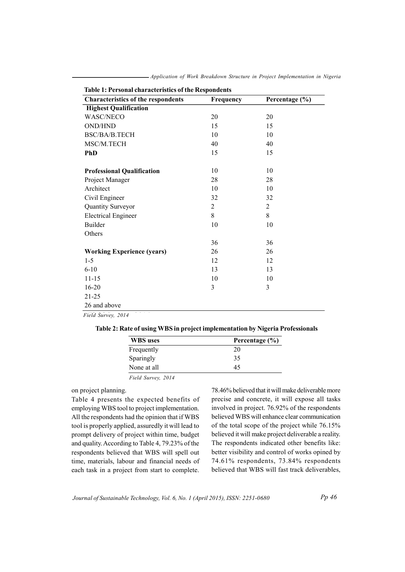| Table 1: Personal characteristics of the Respondents |           |                |  |
|------------------------------------------------------|-----------|----------------|--|
| <b>Characteristics of the respondents</b>            | Frequency | Percentage (%) |  |
| <b>Highest Qualification</b>                         |           |                |  |
| <b>WASC/NECO</b>                                     | 20        | 20             |  |
| <b>OND/HND</b>                                       | 15        | 15             |  |
| BSC/BA/B.TECH                                        | 10        | 10             |  |
| MSC/M.TECH                                           | 40        | 40             |  |
| <b>PhD</b>                                           | 15        | 15             |  |
| <b>Professional Qualification</b>                    | 10        | 10             |  |
| Project Manager                                      | 28        | 28             |  |
| Architect                                            | 10        | 10             |  |
| Civil Engineer                                       | 32        | 32             |  |
| Quantity Surveyor                                    | 2         | $\overline{2}$ |  |
| <b>Electrical Engineer</b>                           | 8         | 8              |  |
| <b>Builder</b>                                       | 10        | 10             |  |
| Others                                               |           |                |  |
|                                                      | 36        | 36             |  |
| <b>Working Experience (years)</b>                    | 26        | 26             |  |
| $1 - 5$                                              | 12        | 12             |  |
| $6 - 10$                                             | 13        | 13             |  |
| $11 - 15$                                            | 10        | 10             |  |
| 16-20                                                | 3         | 3              |  |
| $21 - 25$                                            |           |                |  |
| 26 and above                                         |           |                |  |
|                                                      |           |                |  |

- Application of Work Breakdown Structure in Project Implementation in Nigeria

Field Survey, 2014

| Table 2: Rate of using WBS in project implementation by Nigeria Professionals |  |  |  |  |  |
|-------------------------------------------------------------------------------|--|--|--|--|--|
|-------------------------------------------------------------------------------|--|--|--|--|--|

| <b>WBS</b> uses | Percentage (%) |  |
|-----------------|----------------|--|
| Frequently      | 20             |  |
| Sparingly       | 35             |  |
| None at all     | 45             |  |

Field Survey, 2014

on project planning.

Table 4 presents the expected benefits of employing WBS tool to project implementation. All the respondents had the opinion that if WBS tool is properly applied, assuredly it will lead to prompt delivery of project within time, budget and quality. According to Table 4, 79.23% of the respondents believed that WBS will spell out time, materials, labour and financial needs of each task in a project from start to complete.

78.46% believed that it will make deliverable more precise and concrete, it will expose all tasks involved in project. 76.92% of the respondents believed WBS will enhance clear communication of the total scope of the project while 76.15% believed it will make project deliverable a reality. The respondents indicated other benefits like: better visibility and control of works opined by 74.61% respondents, 73.84% respondents believed that WBS will fast track deliverables,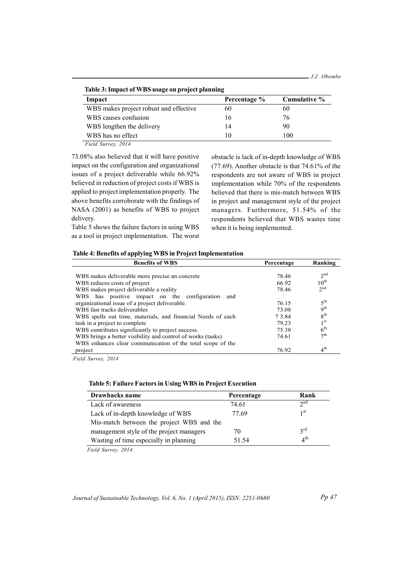| Impact                                 | Percentage % | Cumulative % |
|----------------------------------------|--------------|--------------|
| WBS makes project robust and effective | 60           | 60           |
| WBS causes confusion                   | 16           | 76           |
| WBS lengthen the delivery              | 14           | 90           |
| WBS has no effect                      | 10           | 100          |

73.08% also believed that it will have positive impact on the configuration and organizational issues of a project deliverable while 66.92% believed in reduction of project costs if WBS is applied to project implementation properly. The above benefits corroborate with the findings of NASA  $(2001)$  as benefits of WBS to project delivery.

Table 5 shows the failure factors in using WBS as a tool in project implementation. The worst obstacle is lack of in-depth knowledge of WBS  $(77.69)$ . Another obstacle is that  $74.61\%$  of the respondents are not aware of WBS in project implementation while 70% of the respondents believed that there is mis-match between WBS in project and management style of the project managers. Furthermore, 51.54% of the respondents believed that WBS wastes time when it is being implemented.

## Table 4: Benefits of applying WBS in Project Implementation

| <b>Benefits of WBS</b>                                      | Percentage | Ranking              |
|-------------------------------------------------------------|------------|----------------------|
|                                                             |            |                      |
| WBS makes deliverable more precise an concrete              | 78.46      | 2 <sup>nd</sup>      |
| WBS reduces costs of project                                | 66.92      | $10^{\text{th}}$     |
| WBS makes project deliverable a reality                     | 78.46      | 2 <sub>nd</sub>      |
| has positive impact on the configuration<br>WBS.<br>and     |            |                      |
| organizational issue of a project deliverable.              | 76.15      | $5^{\text{th}}$      |
| WBS fast tracks deliverables                                | 73.08      | 9 <sup>th</sup>      |
| WBS spells out time, materials, and financial Needs of each | 73.84      | 8 <sup>th</sup>      |
| task in a project to complete                               | 79.23      | 1 <sup>st</sup>      |
| WBS contributes significantly to project success.           | 75.38      | 6 <sup>th</sup>      |
| WBS brings a better visibility and control of works (tasks) | 74.61      | $\tau$ <sup>th</sup> |
| WBS enhances clear communication of the total scope of the  |            |                      |
| project                                                     | 76.92      | 4 <sup>th</sup>      |

*Field Survey, 2014* 

## Table 5: Failure Factors in Using WBS in Project Execution

| Drawbacks name                            | Percentage | Rank            |
|-------------------------------------------|------------|-----------------|
| Lack of awareness                         | 74.61      | 2 <sub>nd</sub> |
| Lack of in-depth knowledge of WBS         | 77.69      | 1 <sup>st</sup> |
| Mis-match between the project WBS and the |            |                 |
| management style of the project managers  | 70         | $3^{\text{rd}}$ |
| Wasting of time especially in planning    | 51.54      | $4^{\text{th}}$ |

*Field Survey, 2014*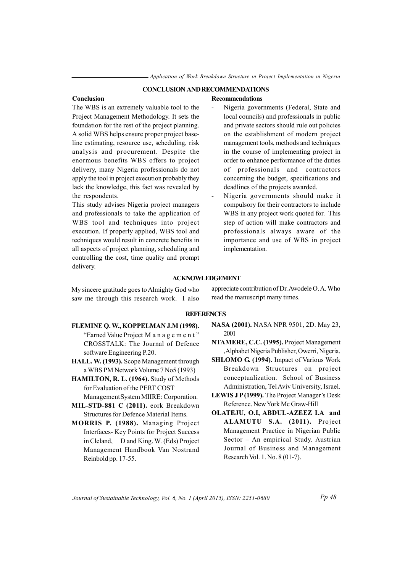### **CONCLUSION AND RECOMMENDATIONS**

#### Conclusion

**Recommendations** 

The WBS is an extremely valuable tool to the Project Management Methodology. It sets the foundation for the rest of the project planning. A solid WBS helps ensure proper project baseline estimating, resource use, scheduling, risk analysis and procurement. Despite the enormous benefits WBS offers to project delivery, many Nigeria professionals do not apply the tool in project execution probably they lack the knowledge, this fact was revealed by the respondents.

This study advises Nigeria project managers and professionals to take the application of WBS tool and techniques into project execution. If properly applied, WBS tool and techniques would result in concrete benefits in all aspects of project planning, scheduling and controlling the cost, time quality and prompt delivery.

# Nigeria governments (Federal, State and local councils) and professionals in public and private sectors should rule out policies on the establishment of modern project management tools, methods and techniques in the course of implementing project in order to enhance performance of the duties of professionals and contractors concerning the budget, specifications and deadlines of the projects awarded.

Nigeria governments should make it compulsory for their contractors to include WBS in any project work quoted for. This step of action will make contractors and professionals always aware of the importance and use of WBS in project implementation.

#### **ACKNOWLEDGEMENT**

My sincere gratitude goes to Almighty God who saw me through this research work. I also

appreciate contribution of Dr. Awodele O.A. Who read the manuscript many times.

### **REFERENCES**

- FLEMINE Q.W., KOPPELMAN J.M (1998). "Earned Value Project M a n a g e m e n t" CROSSTALK: The Journal of Defence software Engineering P.20.
- HALL. W. (1993). Scope Management through a WBS PM Network Volume 7 No5 (1993)
- **HAMILTON, R. L. (1964).** Study of Methods for Evaluation of the PERT COST Management System MIIRE: Corporation.
- MIL-STD-881 C (2011). eork Breakdown Structures for Defence Material Items.
- MORRIS P. (1988). Managing Project Interfaces- Key Points for Project Success in Cleland, D and King. W. (Eds) Project Management Handbook Van Nostrand Reinbold pp. 17-55.
- NASA (2001). NASA NPR 9501, 2D. May 23, 2001
- NTAMERE, C.C. (1995). Project Management , Alphabet Nigeria Publisher, Owerri, Nigeria.
- SHLOMO G (1994). Impact of Various Work Breakdown Structures on project conceptualization. School of Business Administration, Tel Aviv University, Israel.
- LEWIS J P(1999). The Project Manager's Desk Reference. New York Mc Graw-Hill
- OLATEJU, O.I, ABDUL-AZEEZ I.A and ALAMUTU S.A. (2011). Project Management Practice in Nigerian Public Sector - An empirical Study. Austrian Journal of Business and Management Research Vol. 1. No. 8 (01-7).